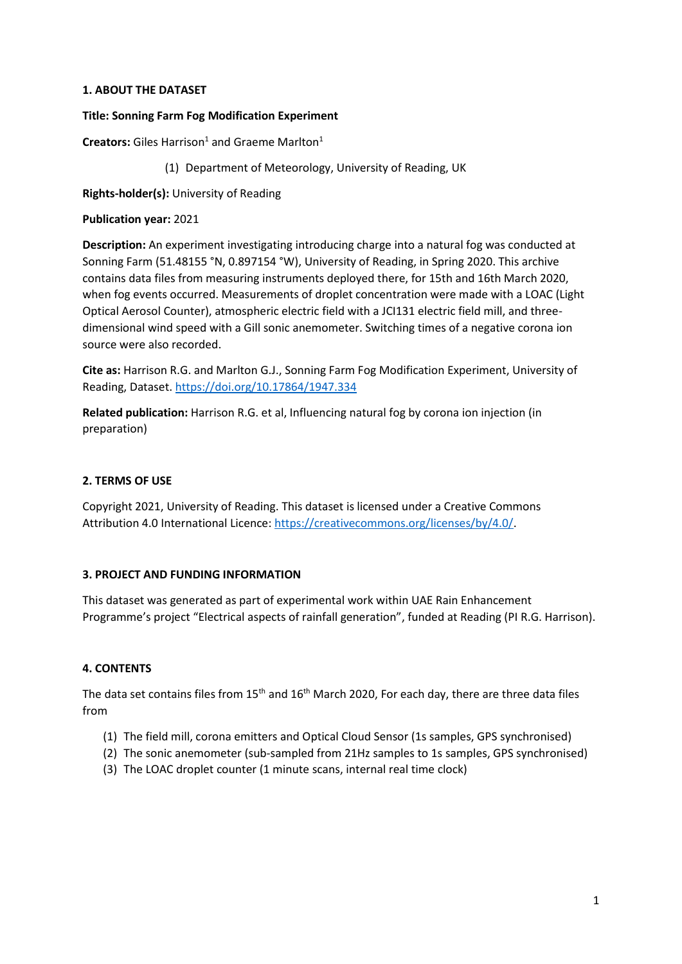## **1. ABOUT THE DATASET**

## **Title: Sonning Farm Fog Modification Experiment**

**Creators:** Giles Harrison<sup>1</sup> and Graeme Marlton<sup>1</sup>

(1) Department of Meteorology, University of Reading, UK

**Rights-holder(s):** University of Reading

### **Publication year:** 2021

**Description:** An experiment investigating introducing charge into a natural fog was conducted at Sonning Farm (51.48155 °N, 0.897154 °W), University of Reading, in Spring 2020. This archive contains data files from measuring instruments deployed there, for 15th and 16th March 2020, when fog events occurred. Measurements of droplet concentration were made with a LOAC (Light Optical Aerosol Counter), atmospheric electric field with a JCI131 electric field mill, and threedimensional wind speed with a Gill sonic anemometer. Switching times of a negative corona ion source were also recorded.

**Cite as:** Harrison R.G. and Marlton G.J., Sonning Farm Fog Modification Experiment, University of Reading, Dataset.<https://doi.org/10.17864/1947.334>

**Related publication:** Harrison R.G. et al, Influencing natural fog by corona ion injection (in preparation)

## **2. TERMS OF USE**

Copyright 2021, University of Reading. This dataset is licensed under a Creative Commons Attribution 4.0 International Licence[: https://creativecommons.org/licenses/by/4.0/.](https://creativecommons.org/licenses/by/4.0/)

## **3. PROJECT AND FUNDING INFORMATION**

This dataset was generated as part of experimental work within UAE Rain Enhancement Programme's project "Electrical aspects of rainfall generation", funded at Reading (PI R.G. Harrison).

## **4. CONTENTS**

The data set contains files from  $15<sup>th</sup>$  and  $16<sup>th</sup>$  March 2020, For each day, there are three data files from

- (1) The field mill, corona emitters and Optical Cloud Sensor (1s samples, GPS synchronised)
- (2) The sonic anemometer (sub-sampled from 21Hz samples to 1s samples, GPS synchronised)
- (3) The LOAC droplet counter (1 minute scans, internal real time clock)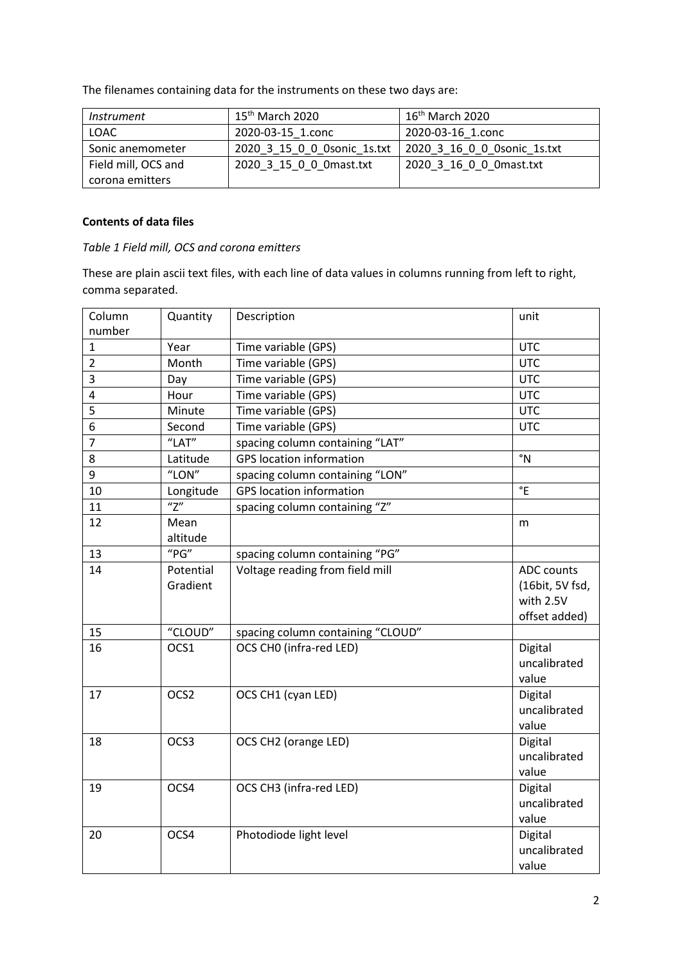The filenames containing data for the instruments on these two days are:

| <i>Instrument</i>   | 15 <sup>th</sup> March 2020 | $16th$ March 2020            |
|---------------------|-----------------------------|------------------------------|
| LOAC                | 2020-03-15 1.conc           | 2020-03-16 1.conc            |
| Sonic anemometer    | 2020 3 15 0 0 0sonic 1s.txt | 2020 3 16 0 0 0 sonic 1s.txt |
| Field mill, OCS and | 2020 3 15 0 0 0 mast.txt    | 2020 3 16 0 0 0 mast.txt     |
| corona emitters     |                             |                              |

# **Contents of data files**

## *Table 1 Field mill, OCS and corona emitters*

These are plain ascii text files, with each line of data values in columns running from left to right, comma separated.

| Column<br>number | Quantity                     | Description                       | unit                                                        |
|------------------|------------------------------|-----------------------------------|-------------------------------------------------------------|
| $\mathbf{1}$     | Year                         | Time variable (GPS)               | <b>UTC</b>                                                  |
| $\overline{2}$   | Month                        | Time variable (GPS)               | <b>UTC</b>                                                  |
| 3                | Day                          | Time variable (GPS)               | <b>UTC</b>                                                  |
| 4                | Hour                         | Time variable (GPS)               | <b>UTC</b>                                                  |
| 5                | Minute                       | Time variable (GPS)               | <b>UTC</b>                                                  |
| 6                | Second                       | Time variable (GPS)               | <b>UTC</b>                                                  |
| $\overline{7}$   | "LAT"                        | spacing column containing "LAT"   |                                                             |
| 8                | Latitude                     | <b>GPS</b> location information   | $\degree N$                                                 |
| 9                | "LON"                        | spacing column containing "LON"   |                                                             |
| 10               |                              | <b>GPS</b> location information   | $\degree$ E                                                 |
| 11               | Longitude<br>$\overline{''}$ |                                   |                                                             |
|                  |                              | spacing column containing "Z"     |                                                             |
| 12               | Mean<br>altitude             |                                   | m                                                           |
| 13               | "PG"                         | spacing column containing "PG"    |                                                             |
| 14               | Potential<br>Gradient        | Voltage reading from field mill   | ADC counts<br>(16bit, 5V fsd,<br>with 2.5V<br>offset added) |
| 15               | "CLOUD"                      | spacing column containing "CLOUD" |                                                             |
| 16               | OCS1                         | OCS CHO (infra-red LED)           | Digital<br>uncalibrated<br>value                            |
| 17               | OCS2                         | OCS CH1 (cyan LED)                | Digital<br>uncalibrated<br>value                            |
| 18               | OCS3                         | OCS CH2 (orange LED)              | Digital<br>uncalibrated<br>value                            |
| 19               | OCS4                         | OCS CH3 (infra-red LED)           | Digital<br>uncalibrated<br>value                            |
| 20               | OCS4                         | Photodiode light level            | Digital<br>uncalibrated<br>value                            |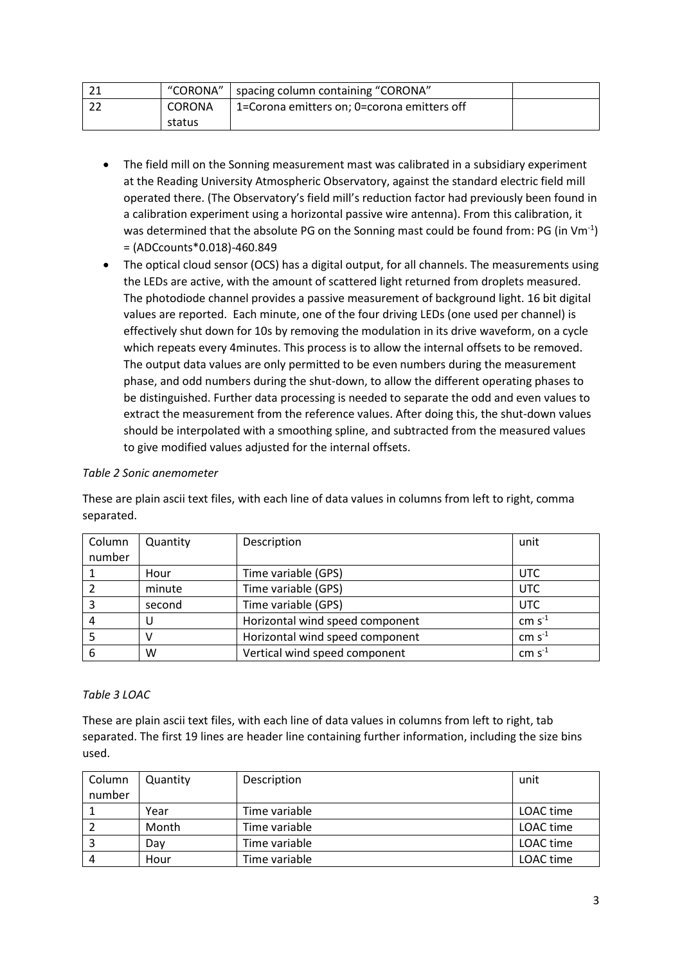|        | "CORONA"   spacing column containing "CORONA" |  |
|--------|-----------------------------------------------|--|
| CORONA | 1=Corona emitters on; 0=corona emitters off   |  |
| status |                                               |  |

- The field mill on the Sonning measurement mast was calibrated in a subsidiary experiment at the Reading University Atmospheric Observatory, against the standard electric field mill operated there. (The Observatory's field mill's reduction factor had previously been found in a calibration experiment using a horizontal passive wire antenna). From this calibration, it was determined that the absolute PG on the Sonning mast could be found from: PG (in Vm<sup>-1</sup>) = (ADCcounts\*0.018)-460.849
- The optical cloud sensor (OCS) has a digital output, for all channels. The measurements using the LEDs are active, with the amount of scattered light returned from droplets measured. The photodiode channel provides a passive measurement of background light. 16 bit digital values are reported. Each minute, one of the four driving LEDs (one used per channel) is effectively shut down for 10s by removing the modulation in its drive waveform, on a cycle which repeats every 4minutes. This process is to allow the internal offsets to be removed. The output data values are only permitted to be even numbers during the measurement phase, and odd numbers during the shut-down, to allow the different operating phases to be distinguished. Further data processing is needed to separate the odd and even values to extract the measurement from the reference values. After doing this, the shut-down values should be interpolated with a smoothing spline, and subtracted from the measured values to give modified values adjusted for the internal offsets.

## *Table 2 Sonic anemometer*

These are plain ascii text files, with each line of data values in columns from left to right, comma separated.

| Column | Quantity | Description                     | unit        |
|--------|----------|---------------------------------|-------------|
| number |          |                                 |             |
|        | Hour     | Time variable (GPS)             | <b>UTC</b>  |
|        | minute   | Time variable (GPS)             | UTC         |
|        | second   | Time variable (GPS)             | <b>UTC</b>  |
|        |          | Horizontal wind speed component | $cm s-1$    |
|        |          | Horizontal wind speed component | $cm s-1$    |
| 6      | w        | Vertical wind speed component   | cm $s^{-1}$ |

### *Table 3 LOAC*

These are plain ascii text files, with each line of data values in columns from left to right, tab separated. The first 19 lines are header line containing further information, including the size bins used.

| Column | Quantity | Description   | unit      |
|--------|----------|---------------|-----------|
| number |          |               |           |
|        | Year     | Time variable | LOAC time |
|        | Month    | Time variable | LOAC time |
|        | Dav      | Time variable | LOAC time |
| 4      | Hour     | Time variable | LOAC time |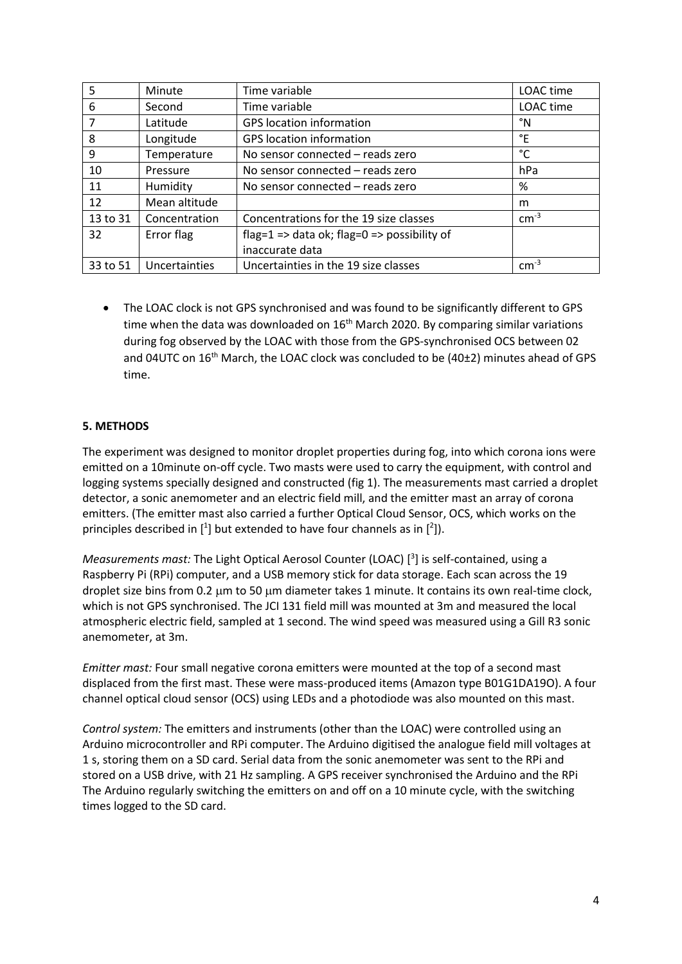| 5        | Minute        | Time variable                               | LOAC time |
|----------|---------------|---------------------------------------------|-----------|
| 6        | Second        | Time variable                               | LOAC time |
| 7        | Latitude      | <b>GPS</b> location information             | °N        |
| 8        | Longitude     | <b>GPS</b> location information             | °E        |
| 9        | Temperature   | No sensor connected - reads zero            | °C        |
| 10       | Pressure      | No sensor connected - reads zero            | hPa       |
| 11       | Humidity      | No sensor connected - reads zero            | %         |
| 12       | Mean altitude |                                             | m         |
| 13 to 31 | Concentration | Concentrations for the 19 size classes      | $cm^{-3}$ |
| 32       | Error flag    | flag=1 => data ok; flag=0 => possibility of |           |
|          |               | inaccurate data                             |           |
| 33 to 51 | Uncertainties | Uncertainties in the 19 size classes        | $cm-3$    |

• The LOAC clock is not GPS synchronised and was found to be significantly different to GPS time when the data was downloaded on  $16<sup>th</sup>$  March 2020. By comparing similar variations during fog observed by the LOAC with those from the GPS-synchronised OCS between 02 and 04UTC on  $16^{th}$  March, the LOAC clock was concluded to be (40 $\pm$ 2) minutes ahead of GPS time.

## **5. METHODS**

The experiment was designed to monitor droplet properties during fog, into which corona ions were emitted on a 10minute on-off cycle. Two masts were used to carry the equipment, with control and logging systems specially designed and constructed (fig 1). The measurements mast carried a droplet detector, a sonic anemometer and an electric field mill, and the emitter mast an array of corona emitters. (The emitter mast also carried a further Optical Cloud Sensor, OCS, which works on the principles described in  $[1]$  but extended to have four channels as in  $[2]$ ).

Measurements mast: The Light Optical Aerosol Counter (LOAC)<sup>[3</sup>] is self-contained, using a Raspberry Pi (RPi) computer, and a USB memory stick for data storage. Each scan across the 19 droplet size bins from 0.2 um to 50 um diameter takes 1 minute. It contains its own real-time clock, which is not GPS synchronised. The JCI 131 field mill was mounted at 3m and measured the local atmospheric electric field, sampled at 1 second. The wind speed was measured using a Gill R3 sonic anemometer, at 3m.

*Emitter mast:* Four small negative corona emitters were mounted at the top of a second mast displaced from the first mast. These were mass-produced items (Amazon type B01G1DA19O). A four channel optical cloud sensor (OCS) using LEDs and a photodiode was also mounted on this mast.

*Control system:* The emitters and instruments (other than the LOAC) were controlled using an Arduino microcontroller and RPi computer. The Arduino digitised the analogue field mill voltages at 1 s, storing them on a SD card. Serial data from the sonic anemometer was sent to the RPi and stored on a USB drive, with 21 Hz sampling. A GPS receiver synchronised the Arduino and the RPi The Arduino regularly switching the emitters on and off on a 10 minute cycle, with the switching times logged to the SD card.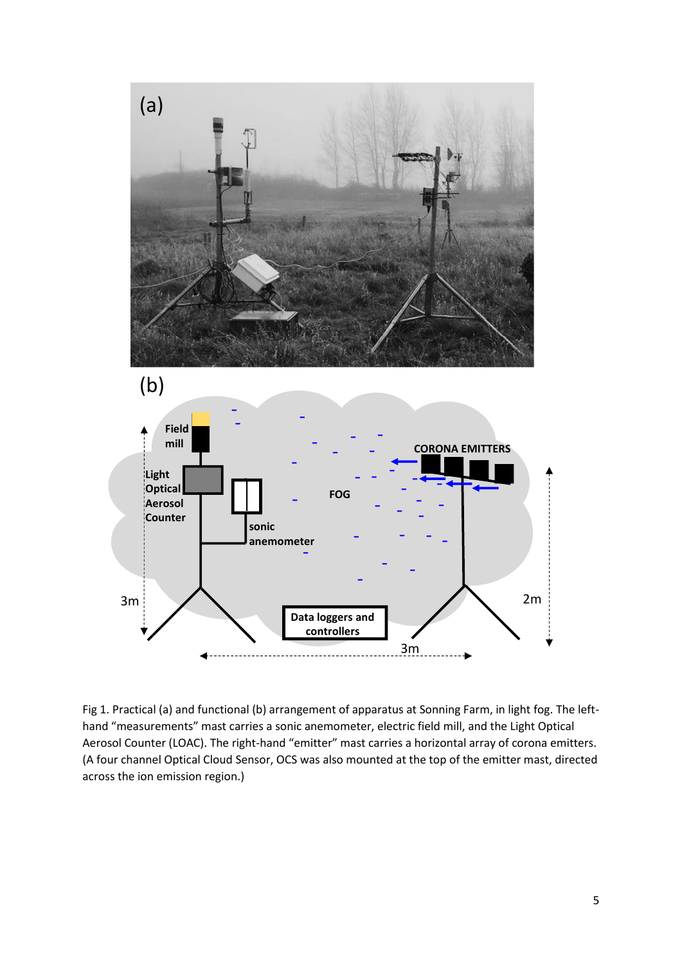

Fig 1. Practical (a) and functional (b) arrangement of apparatus at Sonning Farm, in light fog. The lefthand "measurements" mast carries a sonic anemometer, electric field mill, and the Light Optical Aerosol Counter (LOAC). The right-hand "emitter" mast carries a horizontal array of corona emitters. (A four channel Optical Cloud Sensor, OCS was also mounted at the top of the emitter mast, directed across the ion emission region.)